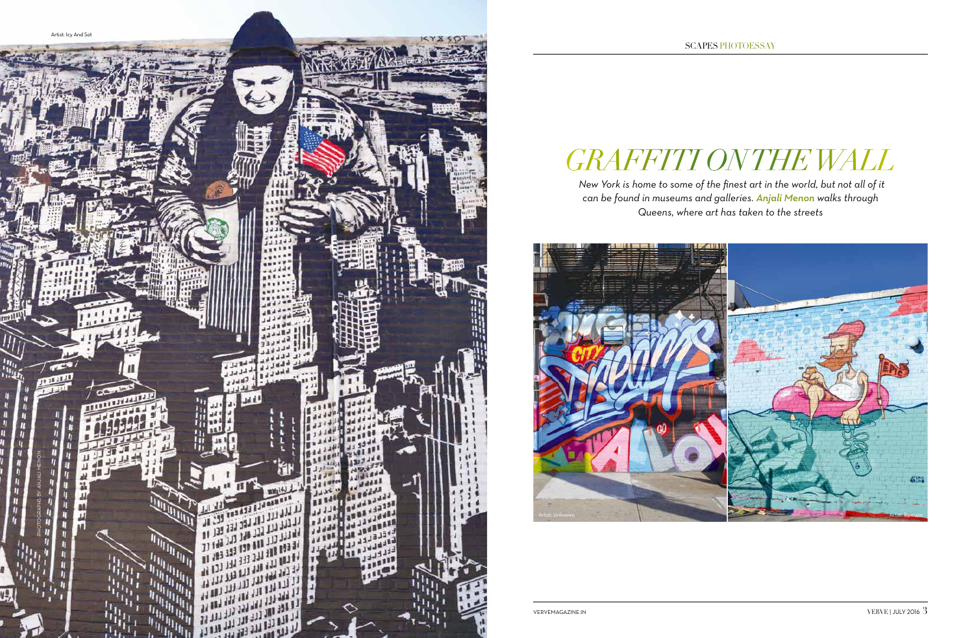## *Graffiti on the Wall*

 *New York is home to some of the finest art in the world, but not all of it can be found in museums and galleries. Anjali Menon walks through Queens, where art has taken to the streets*



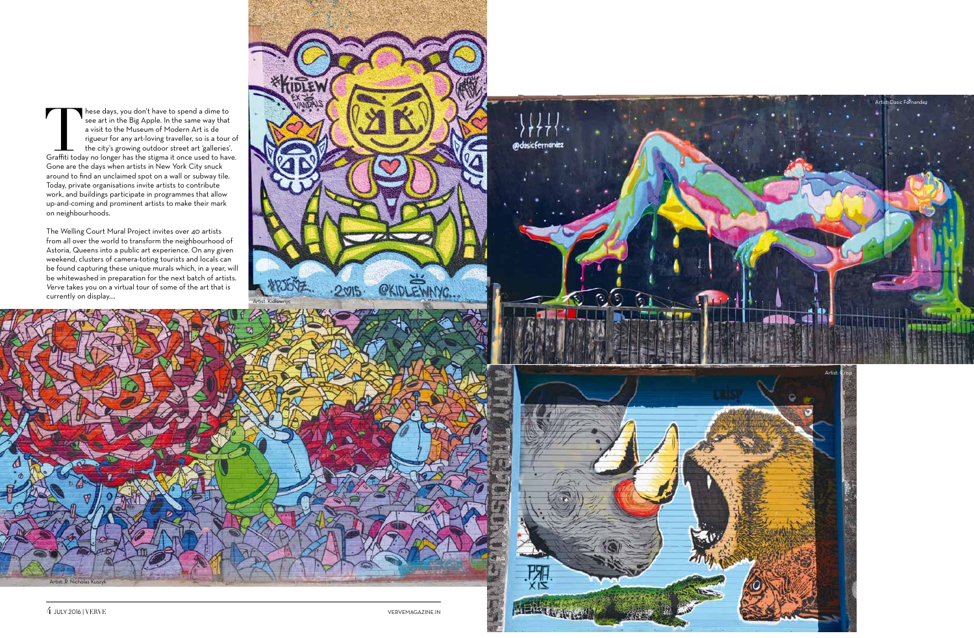These days, you don't have to spend a dime to see art in the Big Apple. In the same way that a visit to the Museum of Modern Art is de rigueur for any art-loving traveller, so is a tour of the city's growing outdoor street see art in the Big Apple. In the same way that a visit to the Museum of Modern Art is de rigueur for any art-loving traveller, so is a tour of the city's growing outdoor street art 'galleries'. Gone are the days when artists in New York City snuck around to find an unclaimed spot on a wall or subway tile. Today, private organisations invite artists to contribute work, and buildings participate in programmes that allow up-and-coming and prominent artists to make their mark on neighbourhoods.

The Welling Court Mural Project invites over 40 artists from all over the world to transform the neighbourhood of Astoria, Queens into a public art experience. On any given weekend, clusters of camera-toting tourists and locals can be found capturing these unique murals which, in a year, will be whitewashed in preparation for the next batch of artists. *Verve* takes you on a virtual tour of some of the art that is Verve takes you on a virtual tour of some of the art that is currently on display....







Artist: R. Nicholas Kuszyk